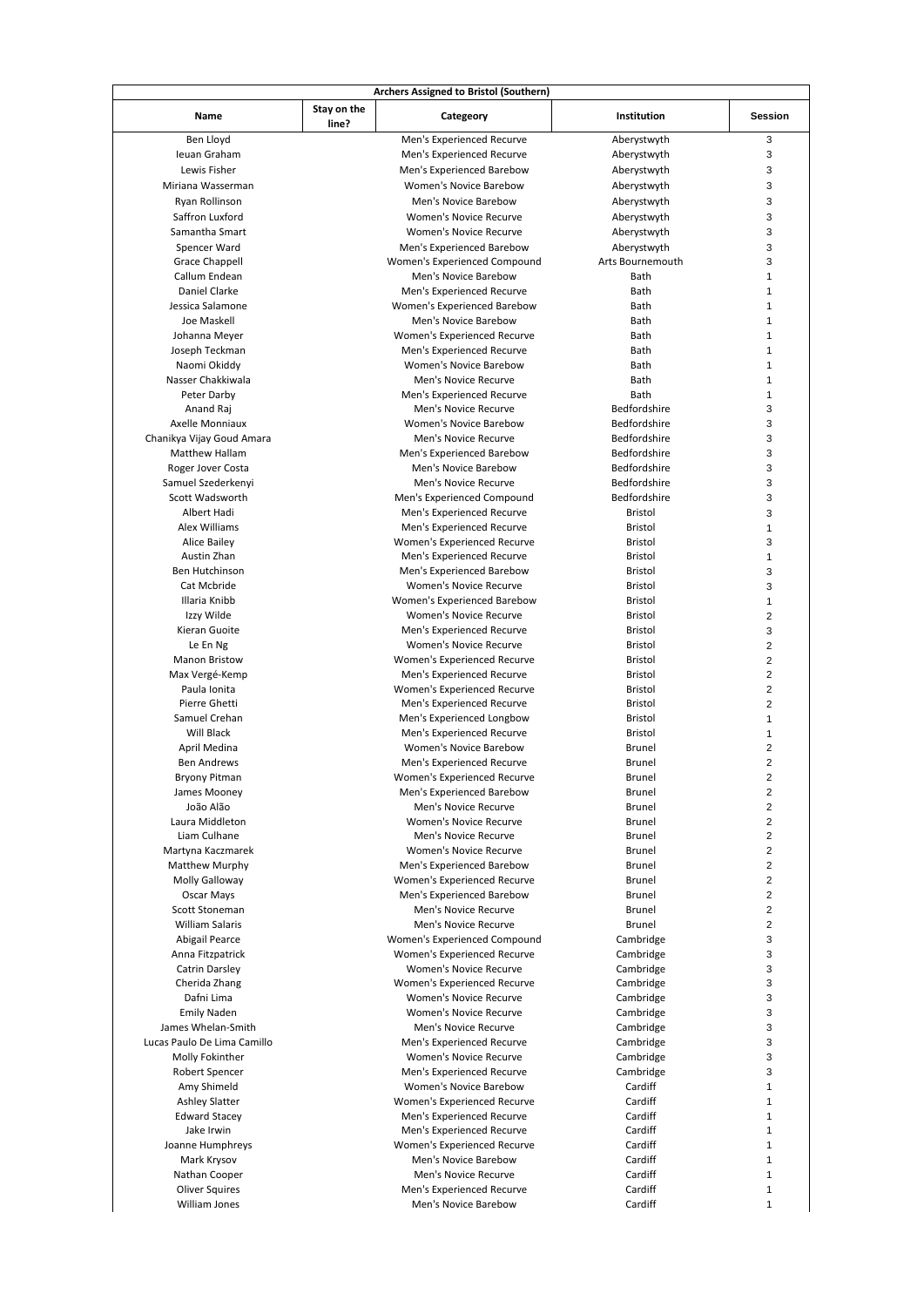| Name                        | Stay on the<br>line? | Categeory                     | Institution      | <b>Session</b>          |
|-----------------------------|----------------------|-------------------------------|------------------|-------------------------|
| Ben Lloyd                   |                      | Men's Experienced Recurve     | Aberystwyth      | 3                       |
| Ieuan Graham                |                      | Men's Experienced Recurve     | Aberystwyth      | 3                       |
| Lewis Fisher                |                      | Men's Experienced Barebow     | Aberystwyth      | 3                       |
| Miriana Wasserman           |                      | Women's Novice Barebow        | Aberystwyth      | 3                       |
| Ryan Rollinson              |                      | Men's Novice Barebow          | Aberystwyth      | 3                       |
| Saffron Luxford             |                      | Women's Novice Recurve        | Aberystwyth      | 3                       |
| Samantha Smart              |                      | Women's Novice Recurve        | Aberystwyth      | 3                       |
| Spencer Ward                |                      | Men's Experienced Barebow     | Aberystwyth      | 3                       |
| <b>Grace Chappell</b>       |                      | Women's Experienced Compound  | Arts Bournemouth | 3                       |
| Callum Endean               |                      | Men's Novice Barebow          | Bath             | 1                       |
| Daniel Clarke               |                      | Men's Experienced Recurve     | Bath             | 1                       |
| Jessica Salamone            |                      | Women's Experienced Barebow   | Bath             | 1                       |
| Joe Maskell                 |                      | Men's Novice Barebow          | Bath             | 1                       |
| Johanna Meyer               |                      | Women's Experienced Recurve   | Bath             | 1                       |
| Joseph Teckman              |                      | Men's Experienced Recurve     | Bath             | 1                       |
| Naomi Okiddy                |                      | Women's Novice Barebow        | Bath             | 1                       |
|                             |                      |                               |                  |                         |
| Nasser Chakkiwala           |                      | Men's Novice Recurve          | Bath             | $\mathbf{1}$            |
| Peter Darby                 |                      | Men's Experienced Recurve     | Bath             | $\mathbf{1}$            |
| Anand Raj                   |                      | Men's Novice Recurve          | Bedfordshire     | 3                       |
| Axelle Monniaux             |                      | Women's Novice Barebow        | Bedfordshire     | 3                       |
| Chanikya Vijay Goud Amara   |                      | Men's Novice Recurve          | Bedfordshire     | 3                       |
| Matthew Hallam              |                      | Men's Experienced Barebow     | Bedfordshire     | 3                       |
| Roger Jover Costa           |                      | Men's Novice Barebow          | Bedfordshire     | 3                       |
| Samuel Szederkenyi          |                      | Men's Novice Recurve          | Bedfordshire     | 3                       |
| Scott Wadsworth             |                      | Men's Experienced Compound    | Bedfordshire     | 3                       |
| Albert Hadi                 |                      | Men's Experienced Recurve     | <b>Bristol</b>   | 3                       |
| Alex Williams               |                      | Men's Experienced Recurve     | <b>Bristol</b>   | 1                       |
| Alice Bailey                |                      | Women's Experienced Recurve   | <b>Bristol</b>   | 3                       |
| Austin Zhan                 |                      | Men's Experienced Recurve     | <b>Bristol</b>   | $\mathbf{1}$            |
| <b>Ben Hutchinson</b>       |                      | Men's Experienced Barebow     | <b>Bristol</b>   | 3                       |
| Cat Mcbride                 |                      | Women's Novice Recurve        | Bristol          | 3                       |
| Illaria Knibb               |                      | Women's Experienced Barebow   | Bristol          | 1                       |
| Izzy Wilde                  |                      | Women's Novice Recurve        | Bristol          | $\overline{\mathbf{c}}$ |
| Kieran Guoite               |                      | Men's Experienced Recurve     | <b>Bristol</b>   | 3                       |
| Le En Ng                    |                      | Women's Novice Recurve        | <b>Bristol</b>   | $\overline{2}$          |
| <b>Manon Bristow</b>        |                      | Women's Experienced Recurve   | Bristol          | $\overline{2}$          |
| Max Vergé-Kemp              |                      | Men's Experienced Recurve     | <b>Bristol</b>   | $\overline{c}$          |
| Paula Ionita                |                      | Women's Experienced Recurve   | Bristol          | $\overline{2}$          |
| Pierre Ghetti               |                      | Men's Experienced Recurve     | Bristol          | $\overline{2}$          |
| Samuel Crehan               |                      | Men's Experienced Longbow     | Bristol          | $\mathbf{1}$            |
| Will Black                  |                      | Men's Experienced Recurve     | <b>Bristol</b>   | $\mathbf{1}$            |
| April Medina                |                      | Women's Novice Barebow        | <b>Brunel</b>    | 2                       |
| <b>Ben Andrews</b>          |                      | Men's Experienced Recurve     | <b>Brunel</b>    | $\overline{2}$          |
| <b>Bryony Pitman</b>        |                      | Women's Experienced Recurve   | <b>Brunel</b>    | 2                       |
|                             |                      | Men's Experienced Barebow     | <b>Brunel</b>    | $\overline{c}$          |
| James Mooney<br>João Alão   |                      | Men's Novice Recurve          | <b>Brunel</b>    | $\overline{2}$          |
|                             |                      |                               |                  | $\overline{2}$          |
| Laura Middleton             |                      | Women's Novice Recurve        | <b>Brunel</b>    |                         |
| Liam Culhane                |                      | Men's Novice Recurve          | Brunel           | $\overline{c}$          |
| Martyna Kaczmarek           |                      | <b>Women's Novice Recurve</b> | <b>Brunel</b>    | $\overline{2}$          |
| Matthew Murphy              |                      | Men's Experienced Barebow     | <b>Brunel</b>    | $\overline{c}$          |
| Molly Galloway              |                      | Women's Experienced Recurve   | Brunel           | $\overline{c}$          |
| Oscar Mays                  |                      | Men's Experienced Barebow     | Brunel           | $\overline{2}$          |
| Scott Stoneman              |                      | Men's Novice Recurve          | <b>Brunel</b>    | $\overline{c}$          |
| <b>William Salaris</b>      |                      | Men's Novice Recurve          | <b>Brunel</b>    | $\overline{c}$          |
| Abigail Pearce              |                      | Women's Experienced Compound  | Cambridge        | 3                       |
| Anna Fitzpatrick            |                      | Women's Experienced Recurve   | Cambridge        | 3                       |
| <b>Catrin Darsley</b>       |                      | Women's Novice Recurve        | Cambridge        | 3                       |
| Cherida Zhang               |                      | Women's Experienced Recurve   | Cambridge        | 3                       |
| Dafni Lima                  |                      | Women's Novice Recurve        | Cambridge        | 3                       |
| <b>Emily Naden</b>          |                      | Women's Novice Recurve        | Cambridge        | 3                       |
| James Whelan-Smith          |                      | Men's Novice Recurve          | Cambridge        | 3                       |
| Lucas Paulo De Lima Camillo |                      | Men's Experienced Recurve     | Cambridge        | 3                       |
| Molly Fokinther             |                      | Women's Novice Recurve        | Cambridge        | 3                       |
| Robert Spencer              |                      | Men's Experienced Recurve     | Cambridge        | 3                       |
| Amy Shimeld                 |                      | Women's Novice Barebow        | Cardiff          | 1                       |
| <b>Ashley Slatter</b>       |                      | Women's Experienced Recurve   | Cardiff          | $\mathbf{1}$            |
|                             |                      |                               | Cardiff          | $\mathbf{1}$            |
| <b>Edward Stacey</b>        |                      | Men's Experienced Recurve     |                  |                         |
| Jake Irwin                  |                      | Men's Experienced Recurve     | Cardiff          | 1                       |
| Joanne Humphreys            |                      | Women's Experienced Recurve   | Cardiff          | $\mathbf{1}$            |
| Mark Krysov                 |                      | Men's Novice Barebow          | Cardiff          | 1                       |
| Nathan Cooper               |                      | Men's Novice Recurve          | Cardiff          | 1                       |
|                             |                      |                               |                  |                         |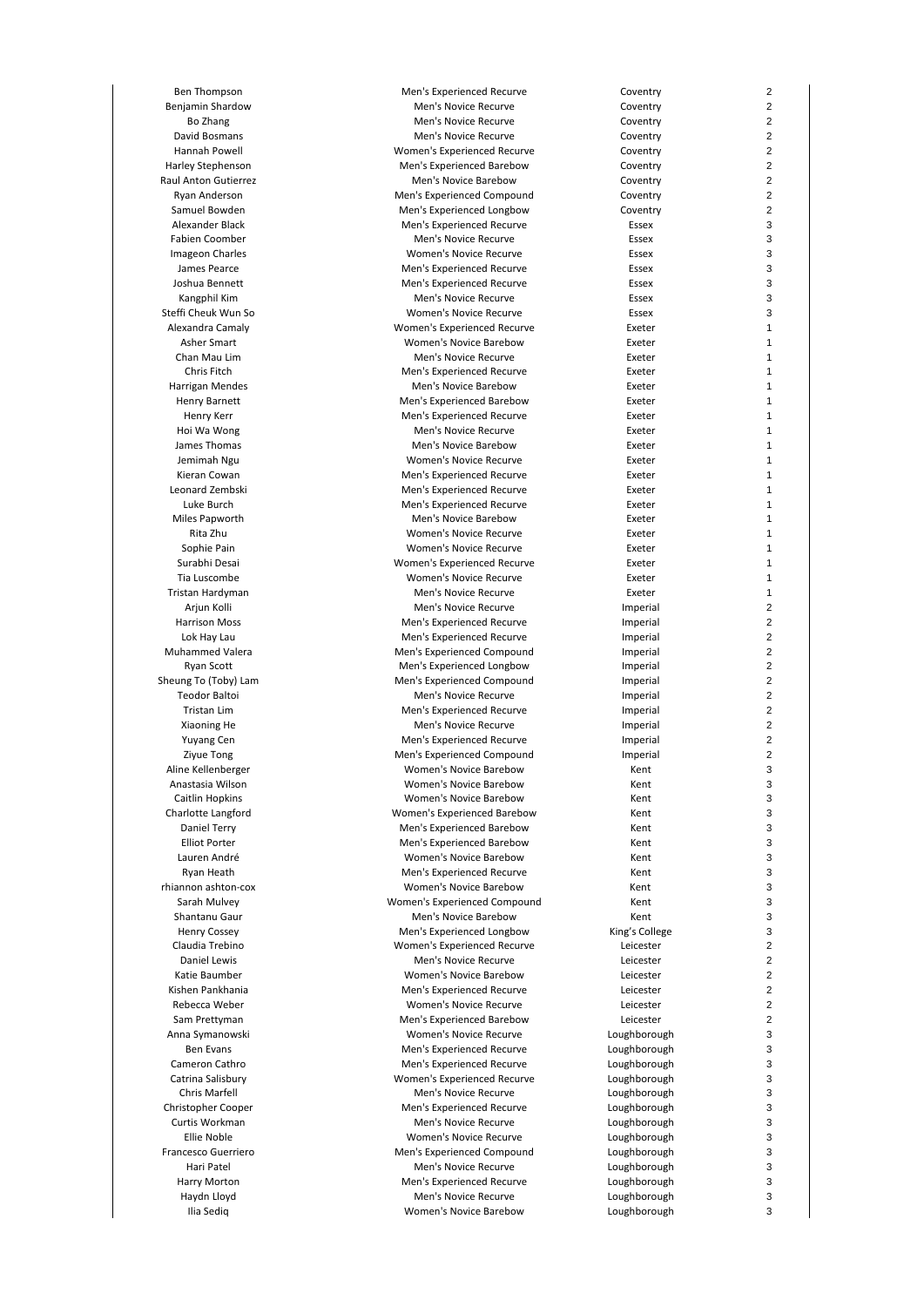Ben Thompson Men's Experienced Recurve Coventry

Benjamin Shardow Men's Novice Recurve Coventry Bo Zhang **Men's Novice Recurve** Coventry David Bosmans Men's Novice Recurve Coventry Hannah Powell Women's Experienced Recurve Coventry Harley Stephenson Men's Experienced Barebow Coventry Raul Anton Gutierrez **Men's Novice Barebow** Coventry Ryan Anderson **Men's Experienced Compound** Coventry Samuel Bowden **Men's Experienced Longbow** Coventry Alexander Black Men's Experienced Recurve Essex Fabien Coomber **Men's Novice Recurve Men's Novice Recurve ESSEX** Imageon Charles Women's Novice Recurve Essex James Pearce **Men's Experienced Recurve** Essex Joshua Bennett **Men's Experienced Recurve** Essex Kangphil Kim Men's Novice Recurve Essex Women's Novice Recurve Alexandra Camaly Women's Experienced Recurve Exeter Asher Smart Women's Novice Barebow Exeter Chan Mau Lim Men's Novice Recurve Exeter Chris Fitch Men's Experienced Recurve Exeter Harrigan Mendes Men's Novice Barebow Exeter Henry Barnett **Men's Experienced Barebow** Exeter Henry Kerr **Men's Experienced Recurve** Exeter Exeter Exeter Exeter Exeter Exeter Exeter<br>Hoi Wa Wong **Exeter** Men's Novice Recurve Men's Novice Recurve James Thomas **Men's Novice Barebow** Exeter Jemimah Ngu Women's Novice Recurve Exeter Kieran Cowan **Men's Experienced Recurve** Exeter Leonard Zembski Men's Experienced Recurve Exeter Luke Burch Men's Experienced Recurve Exeter Men's Novice Barebow Rita Zhu Women's Novice Recurve Exeter Sophie Pain **Super Exeter** Women's Novice Recurve **Exeter** Exeter<br>Surabhi Desai **Novice Access Super Exeter** Women's Experienced Recurve Women's Experienced Recurve Exeter Tia Luscombe Women's Novice Recurve Exeter Tristan Hardyman Men's Novice Recurve Exeter Ariun Kolli **Men's Novice Recurve** Imperial Imperial Harrison Moss and the Men's Experienced Recurve and the strainer in the matrice of the Men's Experienced Recurve and the Imperial of the Men's Experienced Recurve and the Imperial of the Men's Experienced Recurve and the I Men's Experienced Recurve Muhammed Valera **Muhammed Valera Men's Experienced Compound** and Imperial Ryan Scott **Men's Experienced Longbow** Imperial Sheung To (Toby) Lam **Men's Experienced Compound** Imperial Imperial Teodor Baltoi **Men's Novice Recurve Imperial** Tristan Lim **Imperial** Christan Lim Men's Experienced Recurve **Imperial**<br>Men's Novice Recurve **Imperial** Men's Novice Recurve Men's Novice Recurve **Imperial** Yuyang Cen **Men's Experienced Recurve Imperial** Zivue Tong **Mental Compound** Men's Experienced Compound **Imperial** Aline Kellenberger Women's Novice Barebow Kent Anastasia Wilson Women's Novice Barebow Kent Caitlin Hopkins Women's Novice Barebow Kent Charlotte Langford Women's Experienced Barebow Kent Daniel Terry Men's Experienced Barebow Kent Elliot Porter Men's Experienced Barebow Kent Women's Novice Barebow Kent Ryan Heath Men's Experienced Recurve Kent rhiannon ashton-cox Women's Novice Barebow Kent Sarah Mulvey Women's Experienced Compound Kent Shantanu Gaur **Men's Novice Barebow** Kent Henry Cossey Men's Experienced Longbow King's College Claudia Trebino Women's Experienced Recurve Leicester Daniel Lewis Communication of the Men's Novice Recurve Communication of Leicester Communication of Men's Novice Recurve Communication of Leicester Communication of Men's Novice Recurve Communication of Leicester Communicat Women's Novice Barebow Leicester Kishen Pankhania Men's Experienced Recurve Leicester Rebecca Weber Women's Novice Recurve Leicester Sam Prettyman and Men's Experienced Barebow and Leicester Anna Symanowski Women's Novice Recurve Loughborough Ben Evans **Men's Experienced Recurve** Coughborough<br>Cameron Cathro **Men's Experienced Recurve** Loughborough Men's Experienced Recurve Loughborough Catrina Salisbury Women's Experienced Recurve Loughborough Chris Marfell **Men's Novice Recurve** Loughborough Christopher Cooper Men's Experienced Recurve Loughborough Curtis Workman Men's Novice Recurve Loughborough Ellie Noble Women's Novice Recurve Loughborough Francesco Guerriero Men's Experienced Compound Loughborough Hari Patel **Men's Novice Recurve** Couper Loughborough<br>Harry Morton **Men's Experienced Recurve** Loughborough Men's Experienced Recurve Loughborough Haydn Lloyd **Men's Novice Recurve** Computer Loughborough Ilia Sediq Women's Novice Barebow Loughborough

 $\overline{2}$ 

 $\overline{2}$ 

2

2

 $\overline{2}$ 

 $\overline{2}$ 

2

2

2

3

3

3

3

3

3

3

1

1

1

1

1

1

1

1

1

1

1

1

1

1

1

1

1

1

1

2

2

2

 $\overline{2}$ 

2

2

 $\overline{2}$ 

 $\overline{2}$ 

2

2

2

3

3

3

3

3

3

3

3

3

3

3

3

2

 $\overline{2}$ 

2

2

2

2

3

3

3

3

3

3

3

3

3

3

3

3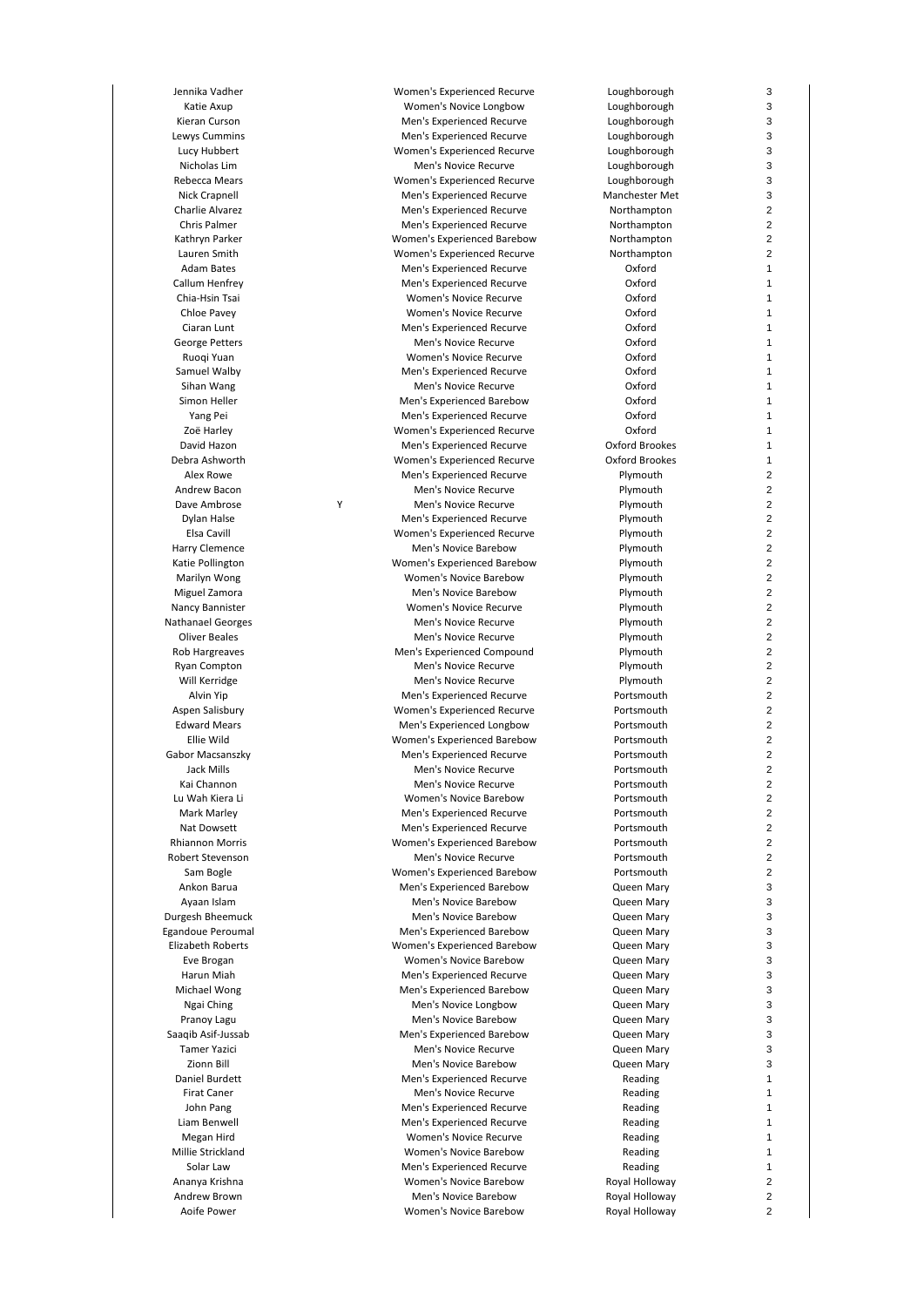Dave Ambrose

Jennika Vadher Women's Experienced Recurve Loughborough Katie Axup **Momen's Novice Longbow** Loughborough Kieran Curson **Men's Experienced Recurve** Loughborough Loughborough Lewys Cummins Men's Experienced Recurve Loughborough Lucy Hubbert Women's Experienced Recurve Loughborough Nicholas Lim Men's Novice Recurve Loughborough Rebecca Mears **Mears** Women's Experienced Recurve Nick Crapnell Men's Experienced Recurve Manchester Met Charlie Alvarez Men's Experienced Recurve Northampton Chris Palmer **Men's Experienced Recurve** Morthampton Kathryn Parker **Marker Women's Experienced Barebow** Northampton Lauren Smith Women's Experienced Recurve Northampton Adam Bates Men's Experienced Recurve Oxford Callum Henfrey **Callum Henfrey Construction Construction** Men's Experienced Recurve<br>Chia-Hsin Tsai **Mental Construction Construction** Construction Oxford Chia-Hsin Tsai Women's Novice Recurve Oxford Women's Novice Recurve Ciaran Lunt Men's Experienced Recurve Oxford George Petters Men's Novice Recurve Oxford Ruoqi Yuan Women's Novice Recurve Samuel Walby **Samuel Walby** Men's Experienced Recurve **CONFORD Sible Mental Sible Accord CONFORD**<br>Sihan Wang Oxford Men's Novice Recurve **Canadian Wang Men's Novice Recurve** Oxford Simon Heller **Men's Experienced Barebow** Oxford Yang Pei Men's Experienced Recurve Oxford Women's Experienced Recurve David Hazon Men's Experienced Recurve Oxford Brookes Debra Ashworth Women's Experienced Recurve Oxford Brookes Alex Rowe **Men's Experienced Recurve Men's Experienced Recurve Plymouth** Andrew Bacon **Men's Novice Recurve Men's Novice Recurve Plymouth** Y Men's Novice Recurve **Plymouth**<br>Men's Experienced Recurve **Plymouth** Men's Experienced Recurve Elsa Cavill Women's Experienced Recurve Plymouth Harry Clemence **Men's Novice Barebow Men's Novice Barebow** Plymouth Katie Pollington Women's Experienced Barebow Plymouth Marilyn Wong Women's Novice Barebow Plymouth Miguel Zamora **Men's Novice Barebow Men's Now Account** Plymouth Nancy Bannister Women's Novice Recurve Plymouth Nathanael Georges **Men's Novice Recurve** Plymouth<br>
Oliver Beales **Men's Novice Recurve** Plymouth Men's Novice Recurve Rob Hargreaves **Men's Experienced Compound** Plymouth Ryan Compton **Men's Novice Recurve Men's Novice Recurve Plymouth** Will Kerridge **Men's Novice Recurve** Men's Novice Recurve **Plymouth** Alvin Yip **Men's Experienced Recurve** Portsmouth Aspen Salisbury **Aspen Salisbury Women's Experienced Recurve** Portsmouth Edward Mears Men's Experienced Longbow Portsmouth Ellie Wild Women's Experienced Barebow Portsmouth Gabor Macsanszky Men's Experienced Recurve Portsmouth Jack Mills Men's Novice Recurve Portsmouth Kai Channon **Men's Novice Recurve Men's Novice Recurve Men's Novice Recurve** Lu Wah Kiera Li Women's Novice Barebow Portsmouth Men's Experienced Recurve **Portsmouth** Nat Dowsett **Men's Experienced Recurve** Portsmouth Rhiannon Morris Women's Experienced Barebow Portsmouth Men's Novice Recurve Sam Bogle Women's Experienced Barebow Portsmouth Ankon Barua Men's Experienced Barebow Queen Mary Ayaan Islam **Men's Novice Barebow** Queen Mary Durgesh Bheemuck Men's Novice Barebow Queen Mary Egandoue Peroumal Men's Experienced Barebow Queen Mary Elizabeth Roberts Women's Experienced Barebow Queen Mary Eve Brogan **Coment Communist Communist Communist Communist Communist Communist Communist Communist Communist Communist Communist Communist Communist Communist Communist Communist Communist Communist Communist Communist Com** Men's Experienced Recurve **Cueen Mary** Michael Wong Men's Experienced Barebow Queen Mary Ngai Ching **Men's Novice Longbow** Queen Mary Pranoy Lagu **Men's Novice Barebow** Queen Mary Saaqib Asif-Jussab Men's Experienced Barebow Queen Mary Tamer Yazici **Men's Novice Recurve** Cueen Mary<br>Zionn Bill **Men's Novice Barebow** Cueen Mary Men's Novice Barebow **Queen Mary** Daniel Burdett **Men's Experienced Recurve** Reading Firat Caner **Men's Novice Recurve** Reading Reading John Pang Men's Experienced Recurve Reading Liam Benwell Men's Experienced Recurve Reading Megan Hird **Magazi Reading** Women's Novice Recurve **Reading** Reading Millie Strickland Women's Novice Barebow Reading Solar Law **Men's Experienced Recurve Reading**<br>Ananya Krishna **Men's Novice Barebow** Royal Holloway Women's Novice Barebow Andrew Brown **Men's Novice Barebow** Royal Holloway Aoife Power **Now American** Momen's Novice Barebow **Royal Holloway** 

3

3

3

3

3

3

3

3

2

 $\overline{2}$ 

2

2

1

1

1

1

1

1

1

1

1

1

1

1

1

1

2

 $\overline{2}$ 

2

2

 $\overline{2}$ 

 $\overline{2}$ 

2

 $\overline{2}$ 

2

2

2

2

 $\overline{2}$ 

2

2

 $\overline{2}$ 

 $\overline{2}$ 

2

2

2

 $\overline{2}$ 

2

2

 $\overline{2}$ 

 $\overline{2}$ 

2

2

2

3

3

3

3

3

3

3

3

3

3

3

3

3

1

1

1

1

1

1

1

2

 $\overline{2}$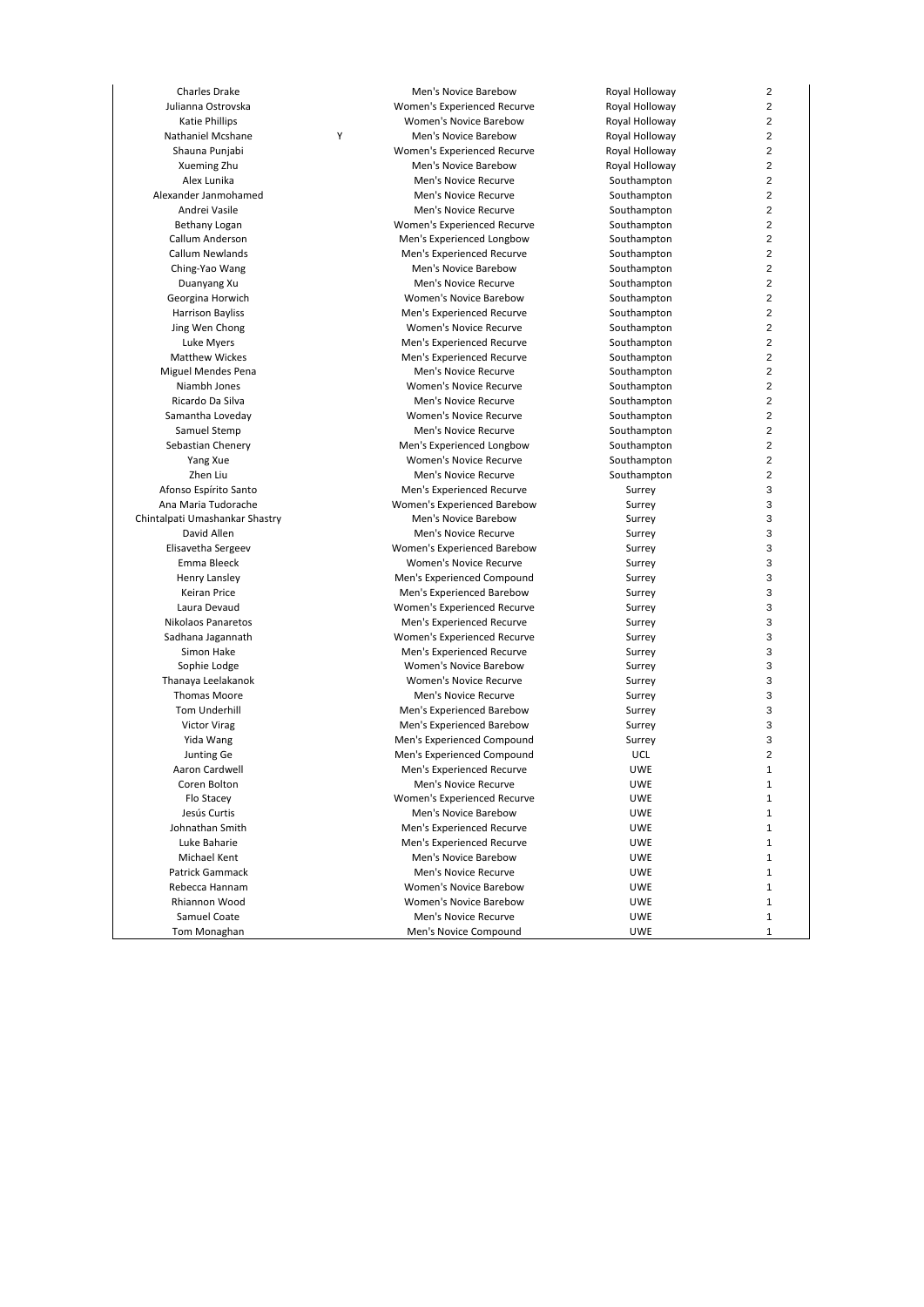Nathaniel Mcshane

Charles Drake **Men's Novice Barebow** Royal Holloway  $\overline{2}$ Julianna Ostrovska Women's Experienced Recurve Royal Holloway  $\overline{2}$ Katie Phillips **Now approximate State Phillips** Women's Novice Barebow **Royal Holloway** 2 Y Men's Novice Barebow Royal Holloway 2 Shauna Punjabi Women's Experienced Recurve Royal Holloway  $\overline{2}$ Xueming Zhu Men's Novice Barebow Royal Holloway 2 Alex Lunika Men's Novice Recurve Southampton 2 Alexander Janmohamed **Men's Novice Recurve** Southampton 2 Andrei Vasile **Men's Novice Recurve** Men's Novice Recurve Southampton 2 Bethany Logan **Matter Communis Experienced Recurve** Southampton 2 Callum Anderson Men's Experienced Longbow Southampton 2 Callum Newlands Men's Experienced Recurve Southampton 2 Ching-Yao Wang **Men's Novice Barebow** Southampton  $\overline{2}$ Duanyang Xu Men's Novice Recurve Southampton 2 Georgina Horwich **Georgina Horwich Communist Constructs** Women's Novice Barebow **Southampton**<br>Harrison Bayliss **Novice Southampton** Men's Experienced Recurve  $\overline{2}$ Men's Experienced Recurve 2 Jing Wen Chong **Chong Chong Chong Chong Chong Chong Chong Chong Chong Chong Chong Chong Chong Chong Chong Chong Chong Chong Chong Chong Chong Chong Chong Chong Chong Chong Chong Chong Chong Chong Chong Chong Chong Chong Ch** 2 Luke Myers Men's Experienced Recurve Southampton  $\overline{2}$ Matthew Wickes **Men's Experienced Recurve** Southampton 2 Miguel Mendes Pena Men's Novice Recurve Southampton  $\overline{2}$ Niambh Jones Women's Novice Recurve Southampton 2 Ricardo Da Silva Men's Novice Recurve Southampton 2 Samantha Loveday **Samantha Loveday Women's Novice Recurve** Southampton Samuel Stemp **Southampton Samuel Stemp**  $\overline{2}$ Men's Novice Recurve 2 Sebastian Chenery Men's Experienced Longbow Southampton 2 Yang Xue **Women's Novice Recurve** Southampton 2 Zhen Liu Men's Novice Recurve Southampton 2 Afonso Espírito Santo **Men's Experienced Recurve** Surrey 3 Ana Maria Tudorache **Maria Tudorache Women's Experienced Barebow** Surrey<br>The Men's Novice Barebow Surrey Surrey Surrey 3 Chintalpati Umashankar Shastry **Men's Novice Barebow** Surrey 3 David Allen **Men's Novice Recurve** Surrey Surrey 3 Elisavetha Sergeev Women's Experienced Barebow Surrey 3 Emma Bleeck Women's Novice Recurve Surrey 3 Henry Lansley **Men's Experienced Compound** Surrey Surrey<br>
Men's Experienced Barebow Surrey Surrey Surrey 3 Keiran Price **Men's Experienced Barebow** Surrey<br>Laura Devaud **Mention Surrey Memen's Experienced Recurve** Surrey 3 Women's Experienced Recurve **Surrey Surrey Surrey**<br>Men's Experienced Recurve **Surrey** 3 Nikolaos Panaretos<br>
Sadhana Jagannath Men's Experienced Recurve Sadhana Jagannath 3 Women's Experienced Recurve Surrey 3 Simon Hake **Men's Experienced Recurve** Surrey 3 Sophie Lodge **Markow Surrey Women's Novice Barebow** Surrey Surrey 3 Thanaya Leelakanok Women's Novice Recurve Surrey 3 Thomas Moore **Men's Novice Recurve** Men's Novice Recurve **Men's Novice Recurve** Surrey 3 Tom Underhill **The Contract Contract Contract Contract Contract Contract Contract Contract Contract Contract Contract Contract Contract Contract Contract Contract Contract Contract Contract Contract Contract Contract Contr** 3 **Men's Experienced Barebow Surrey Surrey** 3 Yida Wang **Men's Experienced Compound** Surrey 3 Junting Ge Men's Experienced Compound UCL 2 Aaron Cardwell **Men's Experienced Recurve Men's Experienced Recurve WE** 1 Coren Bolton Men's Novice Recurve UWE 1 Flo Stacey Women's Experienced Recurve UWE 1 Jesús Curtis Men's Novice Barebow UWE 1 Johnathan Smith Men's Experienced Recurve UWE 1 Luke Baharie Men's Experienced Recurve UWE 1 Men's Novice Barebow 1 Patrick Gammack Men's Novice Recurve UWE 1 Rebecca Hannam Women's Novice Barebow UWE 1 Rhiannon Wood Women's Novice Barebow UWE 1 Samuel Coate **Men's Novice Recurve** Men's Novice Recurve **Men's** UWE 1 Tom Monaghan **Men's Novice Compound** UWE 1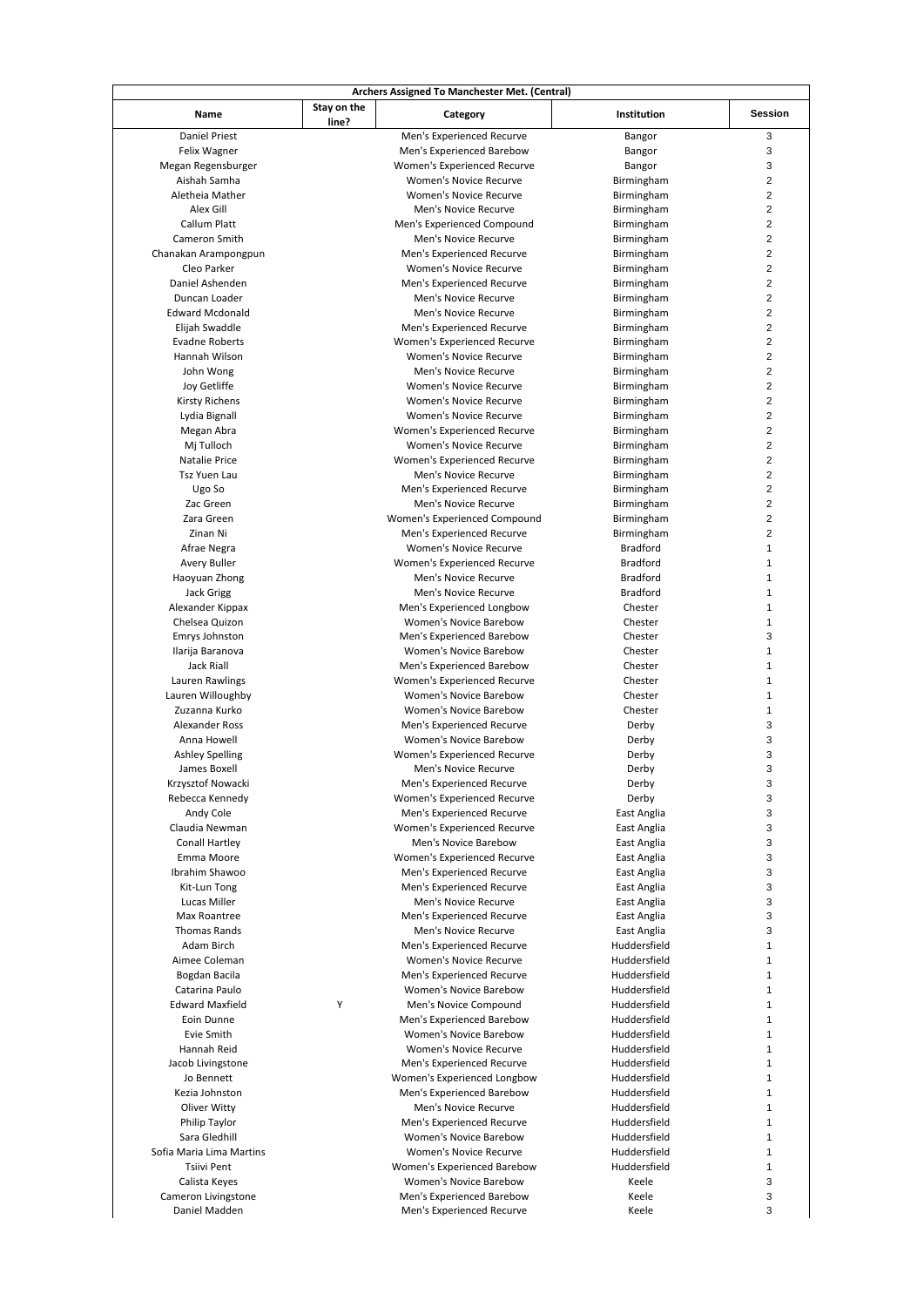|                                  |                      | Archers Assigned To Manchester Met. (Central)              |                              |                         |
|----------------------------------|----------------------|------------------------------------------------------------|------------------------------|-------------------------|
| Name                             | Stay on the<br>line? | Category                                                   | Institution                  | <b>Session</b>          |
| <b>Daniel Priest</b>             |                      | Men's Experienced Recurve                                  | Bangor                       | 3                       |
| Felix Wagner                     |                      | Men's Experienced Barebow                                  | Bangor                       | 3                       |
| Megan Regensburger               |                      | Women's Experienced Recurve                                | Bangor                       | 3                       |
| Aishah Samha                     |                      | <b>Women's Novice Recurve</b>                              | Birmingham                   | 2                       |
| Aletheia Mather                  |                      | Women's Novice Recurve                                     | Birmingham                   | 2                       |
| Alex Gill                        |                      | Men's Novice Recurve                                       | Birmingham                   | 2                       |
| Callum Platt                     |                      | Men's Experienced Compound                                 | Birmingham                   | 2                       |
| Cameron Smith                    |                      | Men's Novice Recurve                                       | Birmingham                   | 2                       |
| Chanakan Arampongpun             |                      | Men's Experienced Recurve                                  | Birmingham                   | 2                       |
| Cleo Parker                      |                      | Women's Novice Recurve                                     | Birmingham                   | 2                       |
| Daniel Ashenden                  |                      | Men's Experienced Recurve                                  | Birmingham                   | 2                       |
| Duncan Loader                    |                      | Men's Novice Recurve                                       | Birmingham                   | 2                       |
| <b>Edward Mcdonald</b>           |                      | Men's Novice Recurve                                       | Birmingham                   | 2                       |
| Elijah Swaddle                   |                      | Men's Experienced Recurve                                  | Birmingham                   | 2                       |
| <b>Evadne Roberts</b>            |                      | Women's Experienced Recurve                                | Birmingham                   | 2                       |
| Hannah Wilson                    |                      | Women's Novice Recurve                                     | Birmingham                   | 2                       |
| John Wong                        |                      | Men's Novice Recurve                                       | Birmingham                   | 2                       |
| Joy Getliffe                     |                      | Women's Novice Recurve                                     | Birmingham                   | 2                       |
| Kirsty Richens                   |                      | Women's Novice Recurve                                     | Birmingham                   | 2                       |
| Lydia Bignall                    |                      | <b>Women's Novice Recurve</b>                              | Birmingham                   | 2                       |
| Megan Abra                       |                      | Women's Experienced Recurve                                | Birmingham                   | 2                       |
| Mj Tulloch                       |                      | Women's Novice Recurve                                     | Birmingham                   | 2                       |
| Natalie Price                    |                      | Women's Experienced Recurve                                | Birmingham                   | 2                       |
| Tsz Yuen Lau                     |                      | Men's Novice Recurve                                       | Birmingham                   | 2                       |
| Ugo So                           |                      | Men's Experienced Recurve                                  | Birmingham                   | 2                       |
| Zac Green                        |                      | Men's Novice Recurve                                       | Birmingham                   | $\overline{\mathbf{c}}$ |
| Zara Green                       |                      | Women's Experienced Compound                               | Birmingham                   | 2                       |
| Zinan Ni                         |                      | Men's Experienced Recurve                                  | Birmingham                   | $\overline{2}$          |
| Afrae Negra                      |                      | Women's Novice Recurve                                     | <b>Bradford</b>              | 1                       |
| Avery Buller                     |                      | Women's Experienced Recurve                                | <b>Bradford</b>              | 1                       |
| Haoyuan Zhong                    |                      | Men's Novice Recurve                                       | <b>Bradford</b>              | 1                       |
| <b>Jack Grigg</b>                |                      | Men's Novice Recurve                                       | <b>Bradford</b>              | 1                       |
| Alexander Kippax                 |                      | Men's Experienced Longbow                                  | Chester                      | 1                       |
| Chelsea Quizon                   |                      | <b>Women's Novice Barebow</b>                              | Chester                      | 1                       |
| Emrys Johnston                   |                      | Men's Experienced Barebow                                  | Chester                      | 3                       |
| Ilarija Baranova                 |                      | Women's Novice Barebow                                     | Chester                      | 1                       |
| Jack Riall                       |                      | Men's Experienced Barebow                                  | Chester                      | 1                       |
| Lauren Rawlings                  |                      | Women's Experienced Recurve                                | Chester                      | 1                       |
| Lauren Willoughby                |                      | Women's Novice Barebow                                     | Chester                      | 1                       |
| Zuzanna Kurko                    |                      | Women's Novice Barebow                                     | Chester                      | 1                       |
| Alexander Ross                   |                      | Men's Experienced Recurve                                  | Derby                        | 3                       |
| Anna Howell                      |                      | <b>Women's Novice Barebow</b>                              | Derby                        | 3                       |
| <b>Ashley Spelling</b>           |                      | Women's Experienced Recurve                                | Derby                        | 3                       |
| James Boxell                     |                      | Men's Novice Recurve                                       | Derby                        | 3                       |
| Krzysztof Nowacki                |                      | Men's Experienced Recurve                                  | Derby                        | 3                       |
| Rebecca Kennedy                  |                      | Women's Experienced Recurve                                | Derby                        | 3                       |
| Andy Cole                        |                      | Men's Experienced Recurve                                  | East Anglia                  | 3                       |
| Claudia Newman                   |                      | Women's Experienced Recurve                                | East Anglia                  | 3                       |
| Conall Hartley                   |                      | Men's Novice Barebow                                       | East Anglia                  | 3                       |
| Emma Moore                       |                      | Women's Experienced Recurve                                | East Anglia                  | 3                       |
| Ibrahim Shawoo                   |                      | Men's Experienced Recurve                                  | East Anglia                  | 3                       |
| Kit-Lun Tong                     |                      | Men's Experienced Recurve                                  | East Anglia                  | 3                       |
| Lucas Miller                     |                      | Men's Novice Recurve                                       | East Anglia                  | 3                       |
| Max Roantree                     |                      | Men's Experienced Recurve                                  | East Anglia                  | 3                       |
| <b>Thomas Rands</b>              |                      | Men's Novice Recurve                                       | East Anglia                  | 3                       |
| Adam Birch                       |                      | Men's Experienced Recurve                                  | Huddersfield                 | 1                       |
| Aimee Coleman                    |                      | Women's Novice Recurve                                     | Huddersfield                 | 1                       |
|                                  |                      |                                                            | Huddersfield                 | 1                       |
| Bogdan Bacila<br>Catarina Paulo  |                      | Men's Experienced Recurve<br><b>Women's Novice Barebow</b> | Huddersfield                 | 1                       |
| <b>Edward Maxfield</b>           | Υ                    | Men's Novice Compound                                      | Huddersfield                 | 1                       |
| Eoin Dunne                       |                      |                                                            | Huddersfield                 | 1                       |
|                                  |                      | Men's Experienced Barebow<br><b>Women's Novice Barebow</b> | Huddersfield                 | 1                       |
| Evie Smith                       |                      |                                                            |                              |                         |
| Hannah Reid<br>Jacob Livingstone |                      | Women's Novice Recurve                                     | Huddersfield<br>Huddersfield | 1<br>1                  |
|                                  |                      | Men's Experienced Recurve                                  |                              |                         |
| Jo Bennett                       |                      | Women's Experienced Longbow                                | Huddersfield                 | 1                       |
| Kezia Johnston                   |                      | Men's Experienced Barebow                                  | Huddersfield                 | 1                       |
| Oliver Witty                     |                      | Men's Novice Recurve                                       | Huddersfield                 | 1                       |
| Philip Taylor                    |                      | Men's Experienced Recurve                                  | Huddersfield                 | 1                       |
| Sara Gledhill                    |                      | <b>Women's Novice Barebow</b>                              | Huddersfield                 | 1                       |
| Sofia Maria Lima Martins         |                      | Women's Novice Recurve                                     | Huddersfield                 | 1                       |
| Tsiivi Pent                      |                      | Women's Experienced Barebow                                | Huddersfield                 | 1                       |
| Calista Keyes                    |                      | <b>Women's Novice Barebow</b>                              | Keele                        | 3                       |
| Cameron Livingstone              |                      | Men's Experienced Barebow                                  | Keele                        | 3                       |
| Daniel Madden                    |                      | Men's Experienced Recurve                                  | Keele                        | 3                       |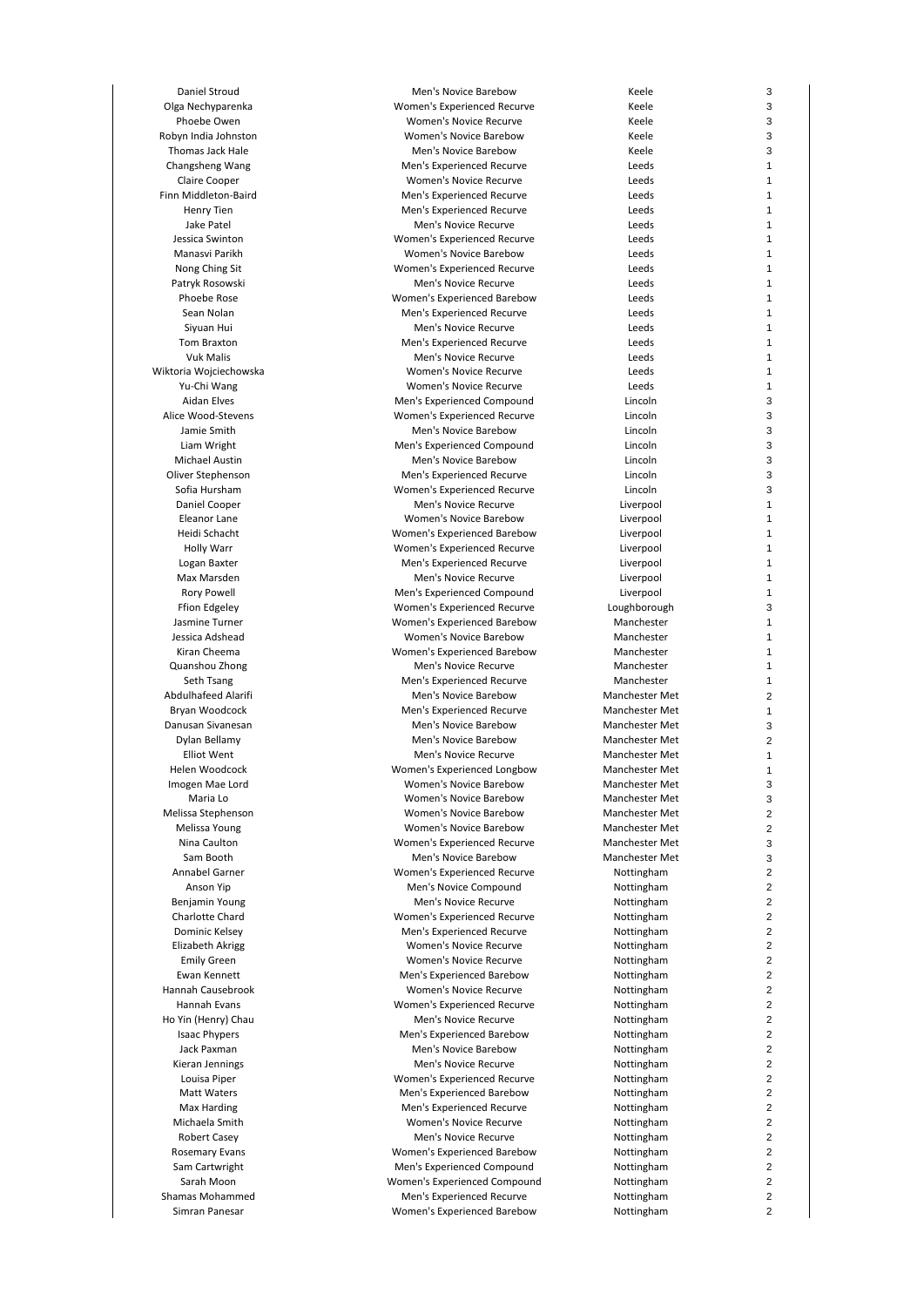Daniel Stroud Men's Novice Barebow Keele Olga Nechyparenka Women's Experienced Recurve Keele Phoebe Owen Women's Novice Recurve Keele Robyn India Johnston Women's Novice Barebow Keele Thomas Jack Hale **Men's Novice Barebow** Men's Novice Barebow **Keele** Changsheng Wang Men's Experienced Recurve Leeds Claire Cooper Women's Novice Recurve Leeds Finn Middleton-Baird **Men's Experienced Recurve** Leeds Henry Tien Men's Experienced Recurve Leeds Jake Patel Men's Novice Recurve Leeds Jessica Swinton Women's Experienced Recurve Leeds Manasvi Parikh Women's Novice Barebow Leeds Nong Ching Sit Women's Experienced Recurve Leeds Patryk Rosowski **Men's Novice Recurve** Charles Recurve Leeds Phoebe Rose **Monen's Experienced Barebow** Cleeds Constants Constant Cleeds Constants Cleeds Cleeds Cleeds Cleeds Men's Experienced Recurve Siyuan Hui Men's Novice Recurve Leeds Tom Braxton Men's Experienced Recurve Leeds Vuk Malis Men's Novice Recurve Leeds Wiktoria Wojciechowska Women's Novice Recurve Leeds Yu-Chi Wang Women's Novice Recurve Leeds Aidan Elves **Men's Experienced Compound** Lincoln Alice Wood-Stevens **Alice Wood-Stevens** Women's Experienced Recurve Lincoln<br>Jamie Smith Men's Novice Barebow Lincoln Men's Novice Barebow Lincoln Liam Wright Men's Experienced Compound Lincoln Michael Austin Men's Novice Barebow Lincoln Oliver Stephenson Men's Experienced Recurve Lincoln Sofia Hursham Women's Experienced Recurve Lincoln Daniel Cooper Men's Novice Recurve Liverpool Women's Novice Barebow Heidi Schacht Women's Experienced Barebow Liverpool Holly Warr Women's Experienced Recurve Liverpool Logan Baxter Men's Experienced Recurve Liverpool Max Marsden **Men's Novice Recurve** Men's Novice Recurve **Men's Novice Recurve** Liverpool Rory Powell وRory Powell Men's Experienced Compound<br>Ffion Edgeley وComponis Experienced Recurve Ffion Edgeley **Experienced Recurve** Women's Experienced Recurve Jasmine Turner Women's Experienced Barebow Manchester Women's Novice Barebow Kiran Cheema Women's Experienced Barebow Manchester Quanshou Zhong Men's Novice Recurve Manchester Seth Tsang Men's Experienced Recurve Manchester Abdulhafeed Alarifi **Men's Novice Barebow** Manchester Met Bryan Woodcock Men's Experienced Recurve Manchester Met Danusan Sivanesan Men's Novice Barebow Manchester Met Dylan Bellamy Men's Novice Barebow Manchester Met Elliot Went Men's Novice Recurve Manchester Met Helen Woodcock Women's Experienced Longbow Manchester Met Imogen Mae Lord Women's Novice Barebow Manchester Met Maria Lo Women's Novice Barebow Manchester Met Melissa Stephenson Women's Novice Barebow Manchester Met Melissa Young Women's Novice Barebow Manchester Met Nina Caulton **Nina Caulton Communis Experienced Recurve** Manchester Met<br>Sam Booth **Manchester Met** Men's Novice Barebow **Manchester Met** Men's Novice Barebow Annabel Garner **Note and Annabel Garner Women's Experienced Recurve Nottingham** Anson Yip **Men's Novice Compound** Men's Notingham Benjamin Young **Mental Men's Novice Recurve** Mottingham Charlotte Chard Women's Experienced Recurve Nottingham Dominic Kelsey **Men's Experienced Recurve** Mottingham Elizabeth Akrigg **Note 2008** Women's Novice Recurve Nottingham Emily Green **Notifical Community Community Creaming Community Creaming Creaming Creaming Creaming Creaming Creaming Creaming Creaming Creaming Creaming Creaming Creaming Creaming Creaming Creaming Creaming Creaming Creamin** Ewan Kennett Men's Experienced Barebow Nottingham Hannah Causebrook Women's Novice Recurve Nottingham Hannah Evans Women's Experienced Recurve Nottingham Ho Yin (Henry) Chau Menter Allen Men's Novice Recurve Nottingham Nottingham Isaac Phypers Men's Experienced Barebow Nottingham Jack Paxman Men's Novice Barebow Nottingham Kieran Jennings **Men's Novice Recurve** Men's Novice Recurve Louisa Piper Women's Experienced Recurve Nottingham Matt Waters **Men's Experienced Barebow** Nottingham Max Harding Men's Experienced Recurve Nottingham Michaela Smith **Michaela Smith Women's Novice Recurve** Nottingham Robert Casey **Men's Novice Recurve** Men's Notice Recurve **Nottingham** Rosemary Evans **Matter and Accord Momen's Experienced Barebow** Mottingham Sam Cartwright **Men's Experienced Compound** Mottingham<br>Sarah Moon **Mondal Compound Compound** Carah Mottingham Women's Experienced Compound Nottingham Shamas Mohammed **Men's Experienced Recurve** Mohammed Nottingham Simran Panesar **Music Communist Communist Communist Experienced Barebow** Nottingham

3

3

3

3

3

1

1

1

1

1

1

1

1

1

1

1

1

1

1

1

1

3

3

3

3

3

3

3

1

1

1

1

1

1

1

3

1

1

1

1

1

2

1

3

2

1

1

3

3

2

 $\overline{2}$ 

3

3

2

 $\overline{2}$ 

2

 $\overline{2}$ 

 $\overline{2}$ 

2

 $\overline{2}$ 

2

2

2

2

 $\overline{2}$ 

2

2

 $\overline{2}$ 

2

2

 $\overline{2}$ 

2

 $\overline{2}$ 

2

2

 $\overline{2}$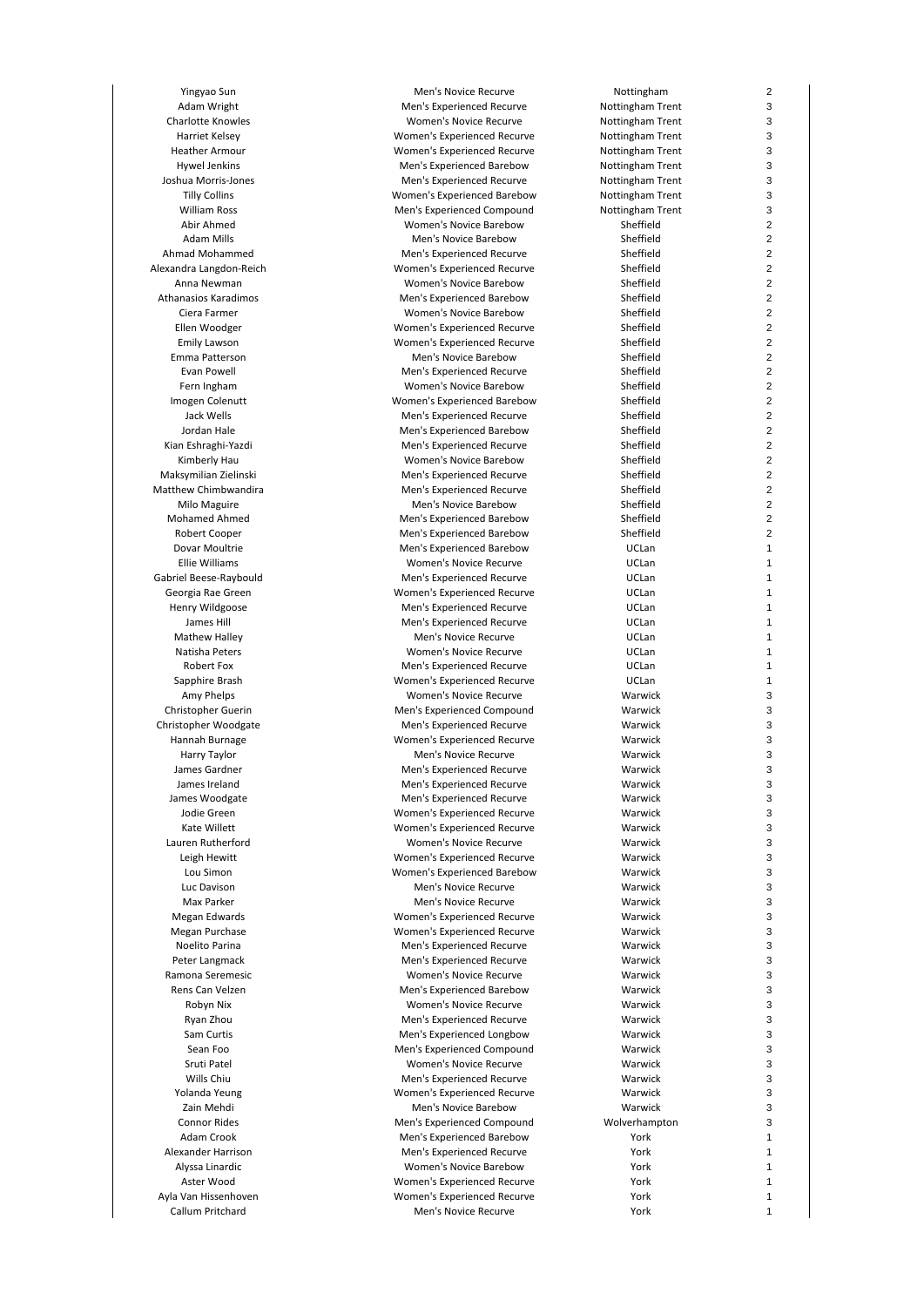Yingyao Sun Men's Novice Recurve Adam Wright Men's Experienced Recurve Mental Men's Experienced Recurve Charlotte Knowles Novice Recurve Notice Recurve Notice Recurve Harriet Kelsey **Notain Communis Experienced Recurve** Notain Trenth Note in the Notain Trenth Note in the Note of No Heather Armour Note and Armour Women's Experienced Recurve Note and Note and Note and Note and Note and Note and No Hywel Jenkins Men's Experienced Barebow Notice Notice and Trenth Notice Assembly Joshua Morris-Jones Mental Men's Experienced Recurve Notation Note and Trentham Trentham Trentham Trentham Tre Tilly Collins **Notify 2018** Women's Experienced Barebow Note William Ross Men's Experienced Compound Notice Notice Notice Notice Notice Note Notice Notice Note Note 1, 1979 Abir Ahmed **Example 2018** Women's Novice Barebow Adam Mills Men's Novice Barebow وAdam Mills<br>Ahmad Mohammed Men's Experienced Recur Men's Experienced Recurve Alexandra Langdon-Reich Sheffield Women's Experienced Recurve Anna Newman Women's Novice Barebow<br>Athanasios Karadimos<br>Men's Experienced Bareboy Athanasios Karadimos<br>
Ciera Farmer Mental Men's Experienced Barebow<br>
Momen's Novice Barebow Women's Novice Barebow Ellen Woodger North Women's Experienced Recurve Emily Lawson **Emily Lawson** Women's Experienced Recurve Emma Patterson Men's Novice Barebow Evan Powell Men's Experienced Recurve Sheffield Men's Experienced Recurve Fern Ingham Novice Barebow Women's Novice Barebow Imogen Colenutt **Women's Experienced Barebow** Jack Wells Men's Experienced Recurve Correct Men's Experienced Recurve Sheffield Unit Sheffield Men's Experienced Barebow Men's Experienced Barebow Kian Eshraghi-Yazdi Men's Experienced Recurve Kimberly Hau Nowell Barebow Naksymilian Zielinski Novice Barebow Naksymilian Zielinski Novice Barebow Naksymilian Zielinski Men's Experienced Recurve Matthew Chimbwandira Men's Experienced Recurve Milo Maguire **Milo Maguire** Men's Novice Barebow<br>Men's Experienced Barebow Sheffield Men's Experienced Barebow Men's Experienced Barebow Robert Cooper Men's Experienced Barebow Dovar Moultrie **Men's Experienced Barebow**<br>Ellie Williams **Mental Communist Communist Communist Communist Communist Communist Communist Communist Communist** Women's Novice Recurve Gabriel Beese-Raybould Men's Experienced Recurve Georgia Rae Green Women's Experienced Recurve Henry Wildgoose Men's Experienced Recurve James Hill Men's Experienced Recurve<br>Men's Novice Recurve Mathew Halley Men's Novice Recurve Natisha Peters **Natisha Peters** Women's Novice Recurve Robert Fox **Men's Experienced Recurve** Sapphire Brash Sapphire Brash Women's Experienced Recurve Amy Phelps **Musical Community** Women's Novice Recurve Christopher Guerin **Men's Experienced Compound** Christopher Woodgate Men's Experienced Recurve Hannah Burnage Mannah Burnage Women's Experienced Recurve Harry Taylor **Men's Novice Recurve** James Gardner Men's Experienced Recurve James Ireland Men's Experienced Recurve James Woodgate **Men's Experienced Recurve** Jodie Green **Women's Experienced Recurve** Kate Willett Women's Experienced Recurve Lauren Rutherford **Communist Communist Communist Communist Communist Communist Communist Communist Communist Co**<br>Women's Experienced Recur Leigh Hewitt **Mollect Communist Communist Communist Communist Communist Communist Communist Communist Communist**<br>Momen's Experienced Barebow Women's Experienced Barebow Luc Davison Men's Novice Recurve Warwick Max Parker Men's Novice Recurve Megan Edwards The Communist Women's Experienced Recurve Megan Purchase Manuel Communis Experienced Recurve Noelito Parina Men's Experienced Recurve Peter Langmack Men's Experienced Recurve<br>Ramona Seremesic Manusch Momen's Novice Recurve Women's Novice Recurve Rens Can Velzen Men's Experienced Barebow Robyn Nix **Nix Accord Recurve** Women's Novice Recurve Ryan Zhou **Men's Experienced Recurve** Sam Curtis **Men's Experienced Longbow** Men's Experienced Longbow Sean Foo **Men's Experienced Compound**<br>
Sruti Patel **Marwick Compound Warms Novice Recurve** Women's Novice Recurve Wills Chiu **Men's Experienced Recurve** Yolanda Yeung Women's Experienced Recurve Zain Mehdi **Men's Novice Barebow** Men's Novice Barebow Connor Rides Men's Experienced Compound Works Area Men's Experienced Compound Adam Crook Men's Experienced Barebow Alexander Harrison **Men's Experienced Recurve** Alyssa Linardic **Alyssa Linardic** Communis Novice Barebow<br>Aster Wood **Marshall Momen's Experienced Recur** Women's Experienced Recurve Ayla Van Hissenhoven Women's Experienced Recurve Callum Pritchard Men's Novice Recurve

| Nottingham     |
|----------------|
|                |
| ttingham Trent |
| ttingham Trent |
|                |
| ttingham Trent |
| ttingham Trent |
| ttingham Trent |
|                |
| ttingham Trent |
| ttingham Trent |
|                |
| ttingham Trent |
| Sheffield      |
|                |
| Sheffield      |
| Sheffield      |
| Sheffield      |
|                |
| Sheffield      |
| Sheffield      |
|                |
| Sheffield      |
| Sheffield      |
| Sheffield      |
|                |
| Sheffield      |
| Sheffield      |
|                |
| Sheffield      |
| Sheffield      |
|                |
| Sheffield      |
| Sheffield      |
| Sheffield      |
|                |
| Sheffield      |
| Sheffield      |
|                |
| Sheffield      |
| Sheffield      |
| Sheffield      |
|                |
| Sheffield      |
| UCLan          |
|                |
| UCLan          |
| UCLan          |
|                |
| UCLan          |
| UCLan          |
|                |
| UCLan          |
| UCLan          |
| UCLan          |
|                |
| UCLan          |
| UCLan          |
|                |
| Warwick        |
| Warwick        |
|                |
| Warwick        |
| Warwick        |
| Warwick        |
|                |
| Warwick        |
| Warwick        |
|                |
| Warwick        |
| Warwick        |
|                |
| Warwick        |
| Warwick        |
| Warwick        |
|                |
| Warwick        |
| Warwick        |
| Warwick        |
|                |
| Warwick        |
| Warwick        |
|                |
| Warwick        |
| Warwick        |
|                |
| Warwick        |
| Warwick        |
| Warwick        |
|                |
| Warwick        |
| Warwick        |
|                |
| Warwick        |
| Warwick        |
|                |
| Warwick        |
| Warwick        |
| Warwick        |
|                |
| 'olverhampton  |
| York           |
|                |
| York           |
| York           |
|                |
| York           |
| York           |
| York           |
|                |

 $\overline{2}$ 

3

3

3

3

3

3

3

3

 $\overline{2}$ 

2

2

 $\overline{2}$ 

2

 $\overline{2}$ 

2

2

 $\overline{2}$ 

2

 $\overline{2}$ 

 $\overline{2}$ 

2

 $\overline{2}$ 

2

2

 $\overline{2}$ 

2

 $\overline{2}$ 

2

2

 $\overline{2}$ 

1

1

1

1

1

1

1

1

1

1

3

3

3

3

3

3

3

3

3

3

3

3

3

3

3

3

3

3

3

3

3

3

3

3

3

3

3

3

3

3

1

1

1

1

1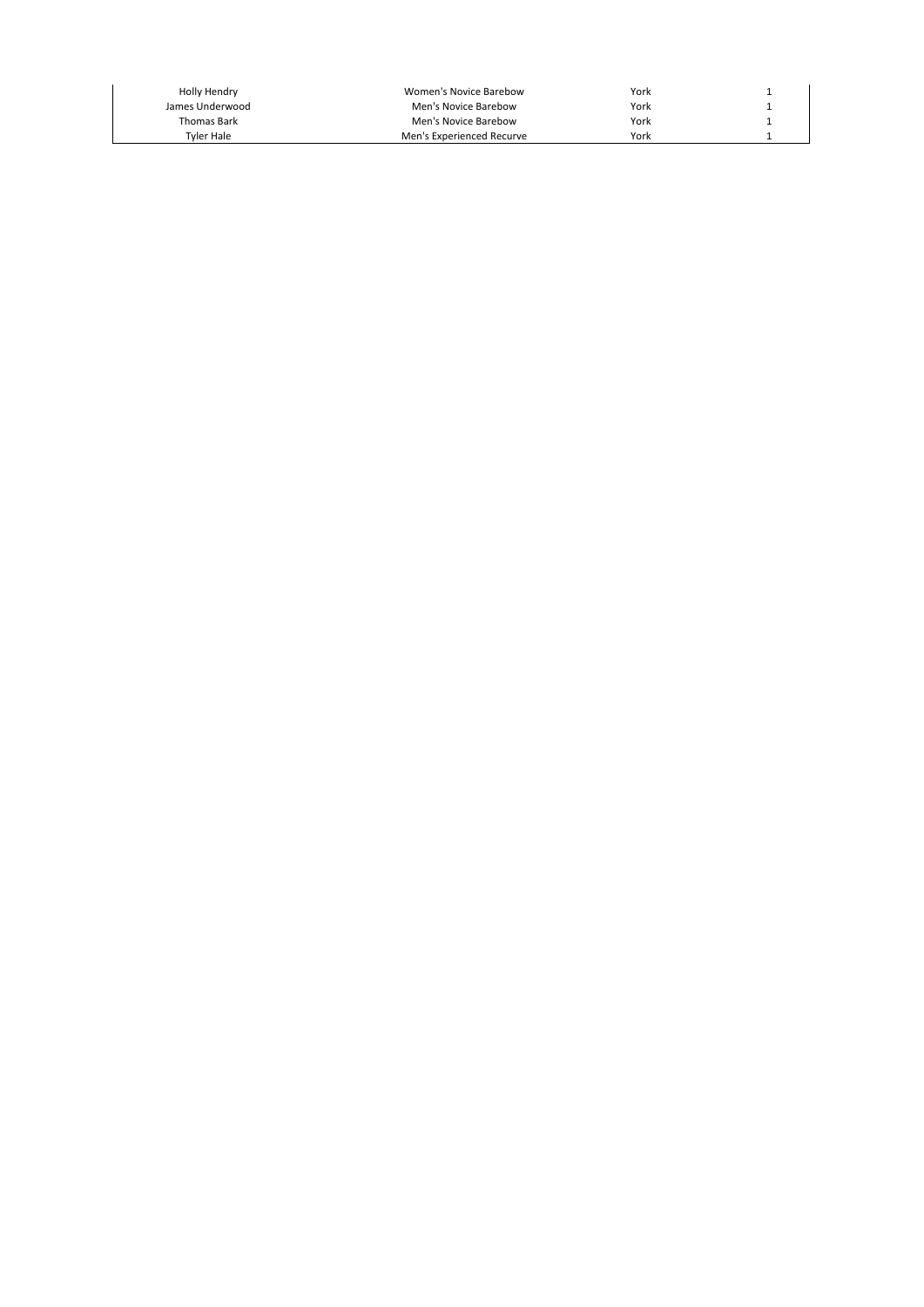| Holly Hendry       | Women's Novice Barebow    | York |  |
|--------------------|---------------------------|------|--|
| James Underwood    | Men's Novice Barebow      | York |  |
| <b>Thomas Bark</b> | Men's Novice Barebow      | York |  |
| Tvler Hale         | Men's Experienced Recurve | York |  |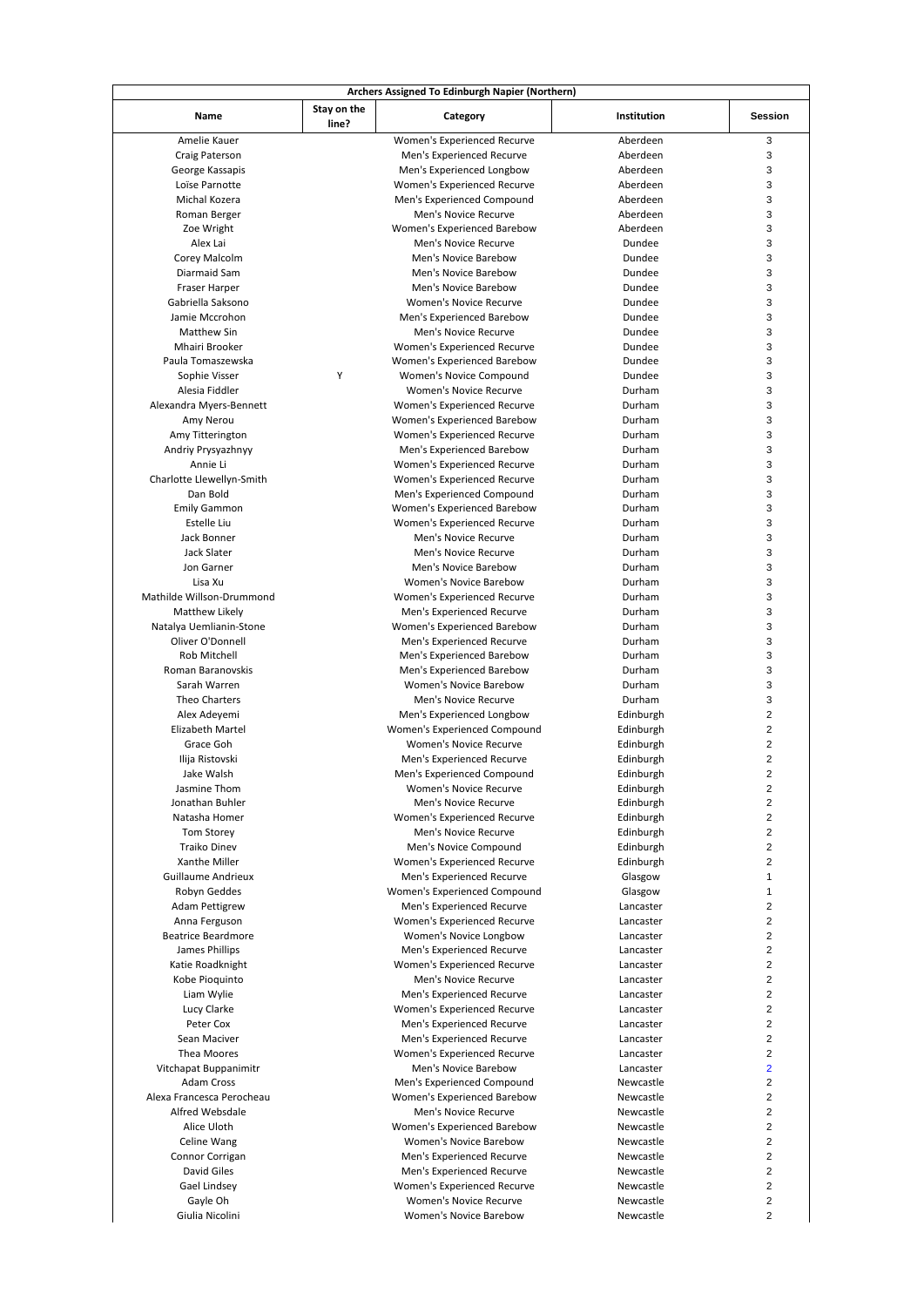| Name                                  | Stay on the<br>line? | Category                      | Institution | <b>Session</b>          |
|---------------------------------------|----------------------|-------------------------------|-------------|-------------------------|
| Amelie Kauer                          |                      | Women's Experienced Recurve   | Aberdeen    | 3                       |
| Craig Paterson                        |                      | Men's Experienced Recurve     | Aberdeen    | 3                       |
| George Kassapis                       |                      | Men's Experienced Longbow     | Aberdeen    | 3                       |
| Loïse Parnotte                        |                      | Women's Experienced Recurve   | Aberdeen    | 3                       |
| Michal Kozera                         |                      | Men's Experienced Compound    | Aberdeen    | 3                       |
| Roman Berger                          |                      | Men's Novice Recurve          | Aberdeen    | 3                       |
| Zoe Wright                            |                      | Women's Experienced Barebow   | Aberdeen    | 3                       |
| Alex Lai                              |                      | Men's Novice Recurve          | Dundee      | 3                       |
| Corey Malcolm                         |                      | Men's Novice Barebow          | Dundee      | 3                       |
| Diarmaid Sam                          |                      | Men's Novice Barebow          | Dundee      | 3                       |
| Fraser Harper                         |                      | Men's Novice Barebow          | Dundee      | 3                       |
| Gabriella Saksono                     |                      | Women's Novice Recurve        | Dundee      | 3                       |
| Jamie Mccrohon                        |                      | Men's Experienced Barebow     | Dundee      | 3                       |
| Matthew Sin                           |                      | Men's Novice Recurve          | Dundee      | 3                       |
| Mhairi Brooker                        |                      | Women's Experienced Recurve   | Dundee      | 3                       |
| Paula Tomaszewska                     |                      | Women's Experienced Barebow   | Dundee      | 3                       |
| Sophie Visser                         | Y                    | Women's Novice Compound       | Dundee      | 3                       |
| Alesia Fiddler                        |                      | <b>Women's Novice Recurve</b> | Durham      | 3                       |
| Alexandra Myers-Bennett               |                      | Women's Experienced Recurve   | Durham      | 3                       |
| Amy Nerou                             |                      | Women's Experienced Barebow   | Durham      | 3                       |
| Amy Titterington                      |                      | Women's Experienced Recurve   | Durham      | 3                       |
|                                       |                      |                               | Durham      | 3                       |
| Andriy Prysyazhnyy                    |                      | Men's Experienced Barebow     | Durham      | 3                       |
| Annie Li<br>Charlotte Llewellyn-Smith |                      | Women's Experienced Recurve   |             | 3                       |
|                                       |                      | Women's Experienced Recurve   | Durham      |                         |
| Dan Bold                              |                      | Men's Experienced Compound    | Durham      | 3                       |
| <b>Emily Gammon</b>                   |                      | Women's Experienced Barebow   | Durham      | 3                       |
| Estelle Liu                           |                      | Women's Experienced Recurve   | Durham      | 3                       |
| Jack Bonner                           |                      | Men's Novice Recurve          | Durham      | 3                       |
| Jack Slater                           |                      | Men's Novice Recurve          | Durham      | 3                       |
| Jon Garner                            |                      | Men's Novice Barebow          | Durham      | 3                       |
| Lisa Xu                               |                      | <b>Women's Novice Barebow</b> | Durham      | 3                       |
| Mathilde Willson-Drummond             |                      | Women's Experienced Recurve   | Durham      | 3                       |
| Matthew Likely                        |                      | Men's Experienced Recurve     | Durham      | 3                       |
| Natalya Uemlianin-Stone               |                      | Women's Experienced Barebow   | Durham      | 3                       |
| Oliver O'Donnell                      |                      | Men's Experienced Recurve     | Durham      | 3                       |
| <b>Rob Mitchell</b>                   |                      | Men's Experienced Barebow     | Durham      | 3                       |
| Roman Baranovskis                     |                      | Men's Experienced Barebow     | Durham      | 3                       |
| Sarah Warren                          |                      | Women's Novice Barebow        | Durham      | 3                       |
| Theo Charters                         |                      | Men's Novice Recurve          | Durham      | 3                       |
| Alex Adeyemi                          |                      | Men's Experienced Longbow     | Edinburgh   | 2                       |
| Elizabeth Martel                      |                      | Women's Experienced Compound  | Edinburgh   | 2                       |
| Grace Goh                             |                      | Women's Novice Recurve        | Edinburgh   | $\overline{\mathbf{c}}$ |
| Ilija Ristovski                       |                      | Men's Experienced Recurve     | Edinburgh   | $\overline{\mathbf{c}}$ |
| Jake Walsh                            |                      | Men's Experienced Compound    | Edinburgh   | 2                       |
| Jasmine Thom                          |                      | Women's Novice Recurve        | Edinburgh   | 2                       |
| Jonathan Buhler                       |                      | Men's Novice Recurve          | Edinburgh   | $\overline{\mathbf{c}}$ |
| Natasha Homer                         |                      | Women's Experienced Recurve   | Edinburgh   | 2                       |
| Tom Storey                            |                      | Men's Novice Recurve          | Edinburgh   | $\overline{2}$          |
| <b>Traiko Dinev</b>                   |                      | Men's Novice Compound         | Edinburgh   | $\overline{c}$          |
| Xanthe Miller                         |                      | Women's Experienced Recurve   | Edinburgh   | 2                       |
| <b>Guillaume Andrieux</b>             |                      | Men's Experienced Recurve     | Glasgow     | $\mathbf{1}$            |
| Robyn Geddes                          |                      | Women's Experienced Compound  | Glasgow     | $\mathbf{1}$            |
| <b>Adam Pettigrew</b>                 |                      | Men's Experienced Recurve     | Lancaster   | 2                       |
| Anna Ferguson                         |                      | Women's Experienced Recurve   | Lancaster   | $\overline{\mathbf{c}}$ |
| <b>Beatrice Beardmore</b>             |                      | Women's Novice Longbow        | Lancaster   | $\overline{\mathbf{c}}$ |
| James Phillips                        |                      | Men's Experienced Recurve     | Lancaster   | $\overline{2}$          |
| Katie Roadknight                      |                      | Women's Experienced Recurve   | Lancaster   | 2                       |
| Kobe Pioquinto                        |                      | Men's Novice Recurve          | Lancaster   | $\overline{\mathbf{c}}$ |
| Liam Wylie                            |                      | Men's Experienced Recurve     | Lancaster   | 2                       |
| Lucy Clarke                           |                      | Women's Experienced Recurve   | Lancaster   | $\overline{2}$          |
| Peter Cox                             |                      | Men's Experienced Recurve     | Lancaster   | $\overline{\mathbf{c}}$ |
| Sean Maciver                          |                      | Men's Experienced Recurve     | Lancaster   | $\overline{\mathbf{c}}$ |
| Thea Moores                           |                      | Women's Experienced Recurve   | Lancaster   | $\overline{2}$          |
| Vitchapat Buppanimitr                 |                      | Men's Novice Barebow          | Lancaster   | $\overline{2}$          |
| Adam Cross                            |                      |                               |             | $\overline{c}$          |
|                                       |                      | Men's Experienced Compound    | Newcastle   |                         |
| Alexa Francesca Perocheau             |                      | Women's Experienced Barebow   | Newcastle   | $\overline{\mathbf{c}}$ |
| Alfred Websdale                       |                      | Men's Novice Recurve          | Newcastle   | $\overline{\mathbf{c}}$ |
| Alice Uloth                           |                      | Women's Experienced Barebow   | Newcastle   | $\overline{c}$          |
| Celine Wang                           |                      | Women's Novice Barebow        | Newcastle   | 2                       |
| Connor Corrigan                       |                      | Men's Experienced Recurve     | Newcastle   | $\overline{\mathbf{c}}$ |
| David Giles                           |                      | Men's Experienced Recurve     | Newcastle   | $\overline{2}$          |
| Gael Lindsey                          |                      | Women's Experienced Recurve   | Newcastle   | $\overline{2}$          |
| Gayle Oh                              |                      | Women's Novice Recurve        | Newcastle   | $\overline{\mathbf{c}}$ |
|                                       |                      |                               | Newcastle   | $\overline{2}$          |